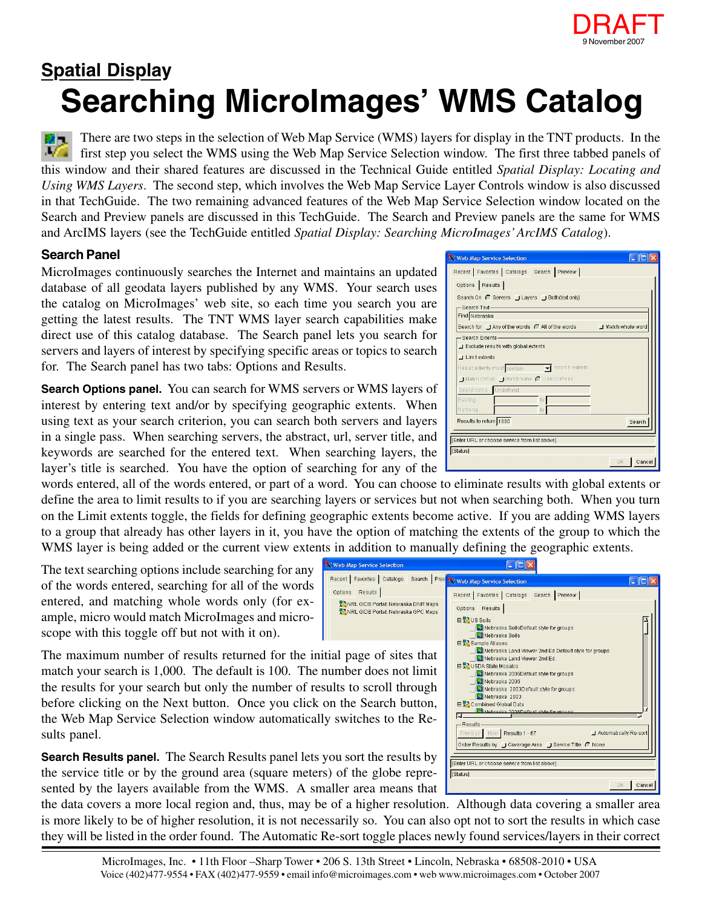

## **Searching MicroImages' WMS Catalog Spatial Display**

There are two steps in the selection of Web Map Service (WMS) layers for display in the TNT products. In the 不感 first step you select the WMS using the Web Map Service Selection window. The first three tabbed panels of this window and their shared features are discussed in the Technical Guide entitled *Spatial Display: Locating and Using WMS Layers*. The second step, which involves the Web Map Service Layer Controls window is also discussed in that TechGuide. The two remaining advanced features of the Web Map Service Selection window located on the Search and Preview panels are discussed in this TechGuide. The Search and Preview panels are the same for WMS and ArcIMS layers (see the TechGuide entitled *Spatial Display: Searching MicroImages' ArcIMS Catalog*).

## **Search Panel**

MicroImages continuously searches the Internet and maintains an updated database of all geodata layers published by any WMS. Your search uses the catalog on MicroImages' web site, so each time you search you are getting the latest results. The TNT WMS layer search capabilities make direct use of this catalog database. The Search panel lets you search for servers and layers of interest by specifying specific areas or topics to search for. The Search panel has two tabs: Options and Results.

**Search Options panel.** You can search for WMS servers or WMS layers of interest by entering text and/or by specifying geographic extents. When using text as your search criterion, you can search both servers and layers in a single pass. When searching servers, the abstract, url, server title, and keywords are searched for the entered text. When searching layers, the layer's title is searched. You have the option of searching for any of the

words entered, all of the words entered, or part of a word. You can choose to eliminate results with global extents or define the area to limit results to if you are searching layers or services but not when searching both. When you turn on the Limit extents toggle, the fields for defining geographic extents become active. If you are adding WMS layers to a group that already has other layers in it, you have the option of matching the extents of the group to which the WMS layer is being added or the current view extents in addition to manually defining the geographic extents.

The text searching options include searching for any of the words entered, searching for all of the words entered, and matching whole words only (for example, micro would match MicroImages and microscope with this toggle off but not with it on).

| <u>rep map betyree belection</u>                                                                       | $-1$ $-1$                                                                                                                                                                 |
|--------------------------------------------------------------------------------------------------------|---------------------------------------------------------------------------------------------------------------------------------------------------------------------------|
| cent   Favorites   Catalogs   Search   Prev NX Web Map Service Selection                               |                                                                                                                                                                           |
| ptions<br>Results<br>NRL GIDB Portal: Nebraska DNR Maps<br><b>PANRL GIDB Portal: Nebraska GPC Maps</b> | Recent   Favorites   Catalogs   Search   Preview  <br><b>Results</b><br>Options<br>日 2 US Soils<br>Nebraska SoilsDefault style for groups<br>Nebraska Soils               |
| I page of sites that<br>mber does not limit                                                            | □ Sample Atlases<br>Nebraska Land Viewer 2nd Ed Default style for groups<br>Nebraska Land Viewer 2nd Ed.<br>□ VSDA State Mosaics<br>Nebraska 2006Default style for groups |
| ts to scroll through<br>the Search button,                                                             | Nebraska 2006<br>Nebraska 2003Default style for groups<br>Nebraska 2003<br>□ Combined Global Data<br>Nehrsels 2006Default style for groune                                |
| switches to the Re-                                                                                    |                                                                                                                                                                           |

Next Results 1 - 67 Order Results by J Coverage Area J Service Title (C None

Enter URL or choose service from list above

[Status]

Automatically Re-son

| Cancel

The maximum number of results returned for the initial match your search is  $1,000$ . The default is 100. The number the results for your search but only the number of result before clicking on the Next button. Once you click on the Web Map Service Selection window automatically switches to the Results panel.

**Search Results panel.** The Search Results panel lets you sort the results by the service title or by the ground area (square meters) of the globe represented by the layers available from the WMS. A smaller area means that

the data covers a more local region and, thus, may be of a higher resolution. Although data covering a smaller area is more likely to be of higher resolution, it is not necessarily so. You can also opt not to sort the results in which case they will be listed in the order found. The Automatic Re-sort toggle places newly found services/layers in their correct

| MicroImages, Inc. • 11th Floor -Sharp Tower • 206 S. 13th Street • Lincoln, Nebraska • 68508-2010 • USA       |
|---------------------------------------------------------------------------------------------------------------|
| Voice (402)477-9554 • FAX (402)477-9559 • email info@microimages.com • web www.microimages.com • October 2007 |

| $\lambda$ web map betwice belection                |                                                                     |                     |
|----------------------------------------------------|---------------------------------------------------------------------|---------------------|
| Recent   Favorites   Catalogs Search   Preview     |                                                                     |                     |
| Options Results                                    |                                                                     |                     |
| Search On ( Servers   Layers   Both(text only)     |                                                                     |                     |
| -Search Text-                                      |                                                                     |                     |
| Find Nebraska                                      |                                                                     |                     |
|                                                    | Search for J Any of the words C All of the words J Match whole word |                     |
| -Search Extents-                                   |                                                                     |                     |
| Exclude results with global extents                |                                                                     |                     |
| $\Box$ Limit extents                               |                                                                     |                     |
| Result extents must contain vertext search extents |                                                                     |                     |
| Match Group J Match View C User Defined            |                                                                     |                     |
| Coordinates Undefined                              |                                                                     |                     |
| Easting                                            | to                                                                  |                     |
| Northing                                           | to.                                                                 |                     |
| Results to return 1000                             |                                                                     | Search              |
|                                                    |                                                                     |                     |
| [Enter URL or choose service from list above]      |                                                                     |                     |
| [Status]                                           |                                                                     |                     |
|                                                    |                                                                     | Cancel<br><b>OK</b> |